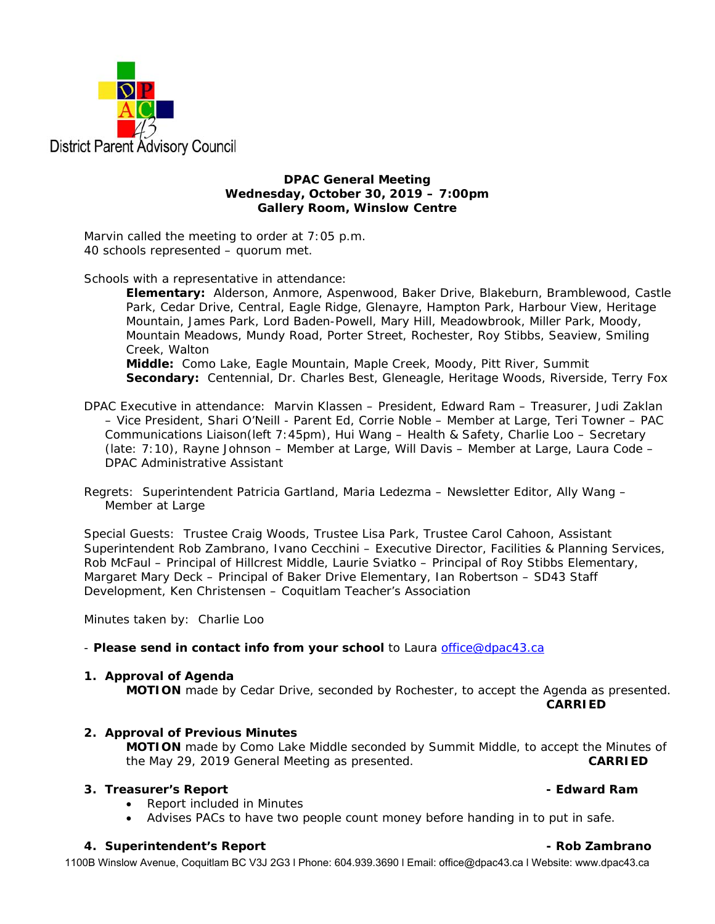

**DPAC General Meeting Wednesday, October 30, 2019 – 7:00pm Gallery Room, Winslow Centre** 

Marvin called the meeting to order at 7:05 p.m. 40 schools represented – quorum met.

Schools with a representative in attendance:

**Elementary:** Alderson, Anmore, Aspenwood, Baker Drive, Blakeburn, Bramblewood, Castle Park, Cedar Drive, Central, Eagle Ridge, Glenayre, Hampton Park, Harbour View, Heritage Mountain, James Park, Lord Baden-Powell, Mary Hill, Meadowbrook, Miller Park, Moody, Mountain Meadows, Mundy Road, Porter Street, Rochester, Roy Stibbs, Seaview, Smiling Creek, Walton

**Middle:** Como Lake, Eagle Mountain, Maple Creek, Moody, Pitt River, Summit **Secondary:** Centennial, Dr. Charles Best, Gleneagle, Heritage Woods, Riverside, Terry Fox

- DPAC Executive in attendance: Marvin Klassen President, Edward Ram Treasurer, Judi Zaklan – Vice President, Shari O'Neill - Parent Ed, Corrie Noble – Member at Large, Teri Towner – PAC Communications Liaison(left 7:45pm), Hui Wang – Health & Safety, Charlie Loo – Secretary (late: 7:10), Rayne Johnson – Member at Large, Will Davis – Member at Large, Laura Code – DPAC Administrative Assistant
- Regrets: Superintendent Patricia Gartland, Maria Ledezma Newsletter Editor, Ally Wang Member at Large

Special Guests: Trustee Craig Woods, Trustee Lisa Park, Trustee Carol Cahoon, Assistant Superintendent Rob Zambrano, Ivano Cecchini – Executive Director, Facilities & Planning Services, Rob McFaul – Principal of Hillcrest Middle, Laurie Sviatko – Principal of Roy Stibbs Elementary, Margaret Mary Deck – Principal of Baker Drive Elementary, Ian Robertson – SD43 Staff Development, Ken Christensen – Coquitlam Teacher's Association

Minutes taken by: Charlie Loo

- *Please send in contact info from your school* to Laura *office@dpac43.ca* 

### **1. Approval of Agenda**

**MOTION** made by *Cedar Drive*, seconded by *Rochester*, to accept the Agenda as presented. **CARRIED** 

## **2. Approval of Previous Minutes**

 **MOTION** made by *Como Lake* Middle seconded by *Summit Middle*, to accept the Minutes of the May 29, 2019 General Meeting as presented. **CARRIED** 

## **3. Treasurer's Report Contract Contract Contract Contract Contract Contract Contract Contract Contract Contract Contract Contract Contract Contract Contract Contract Contract Contract Contract Contract Contract Contra**

- Report included in Minutes
- Advises PACs to have two people count money before handing in to put in safe.

### **4. Superintendent's Report - Rob Zambrano**

1100B Winslow Avenue, Coquitlam BC V3J 2G3 l Phone: 604.939.3690 l Email: office@dpac43.ca l Website: www.dpac43.ca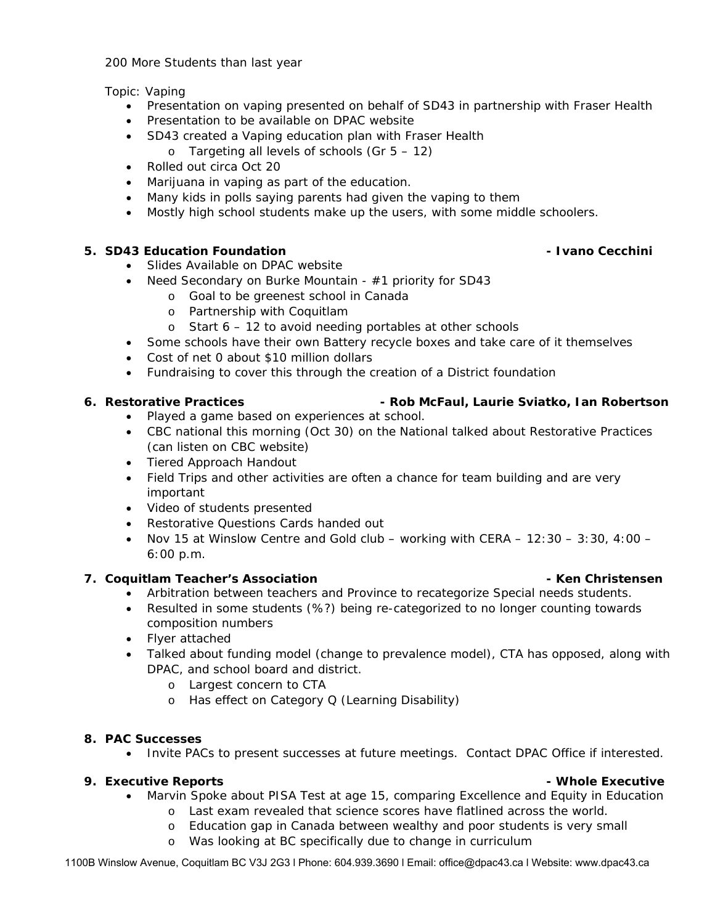200 More Students than last year

Topic: Vaping

- Presentation on vaping presented on behalf of SD43 in partnership with Fraser Health
- Presentation to be available on DPAC website
- SD43 created a Vaping education plan with Fraser Health
	- o Targeting all levels of schools (Gr 5 12)
- Rolled out circa Oct 20
- Marijuana in vaping as part of the education.
- Many kids in polls saying parents had given the vaping to them
- Mostly high school students make up the users, with some middle schoolers.

# **5. SD43 Education Foundation - Ivano Cecchini**

- Slides Available on DPAC website
- Need Secondary on Burke Mountain #1 priority for SD43
	- o Goal to be greenest school in Canada
	- o Partnership with Coquitlam
	- o Start 6 12 to avoid needing portables at other schools
- Some schools have their own Battery recycle boxes and take care of it themselves
- Cost of net 0 about \$10 million dollars
- Fundraising to cover this through the creation of a District foundation

# **6. Restorative Practices - Rob McFaul, Laurie Sviatko, Ian Robertson**

- Played a game based on experiences at school.
- CBC national this morning (Oct 30) on the National talked about Restorative Practices (can listen on CBC website)
- Tiered Approach Handout
- Field Trips and other activities are often a chance for team building and are very important
- Video of students presented
- Restorative Questions Cards handed out
- Nov 15 at Winslow Centre and Gold club working with CERA 12:30 3:30, 4:00 6:00 p.m.

# **7.** Coquitlam Teacher's Association **- According to the Contract Contract Contract Contract Contract Contract Contract Contract Contract Contract Contract Contract Contract Contract Contract Contract Contract Contract Con**

- Arbitration between teachers and Province to recategorize Special needs students.
- Resulted in some students (%?) being re-categorized to no longer counting towards composition numbers
- Flyer attached
- Talked about funding model (change to prevalence model), CTA has opposed, along with DPAC, and school board and district.
	- o Largest concern to CTA
	- o Has effect on Category Q (Learning Disability)

# **8. PAC Successes**

• Invite PACs to present successes at future meetings. Contact DPAC Office if interested.

# **9. Executive Reports - Whole Executive**

- Marvin Spoke about PISA Test at age 15, comparing Excellence and Equity in Education
	- o Last exam revealed that science scores have flatlined across the world.
	- o Education gap in Canada between wealthy and poor students is very small
	- o Was looking at BC specifically due to change in curriculum

1100B Winslow Avenue, Coquitlam BC V3J 2G3 l Phone: 604.939.3690 l Email: office@dpac43.ca l Website: www.dpac43.ca